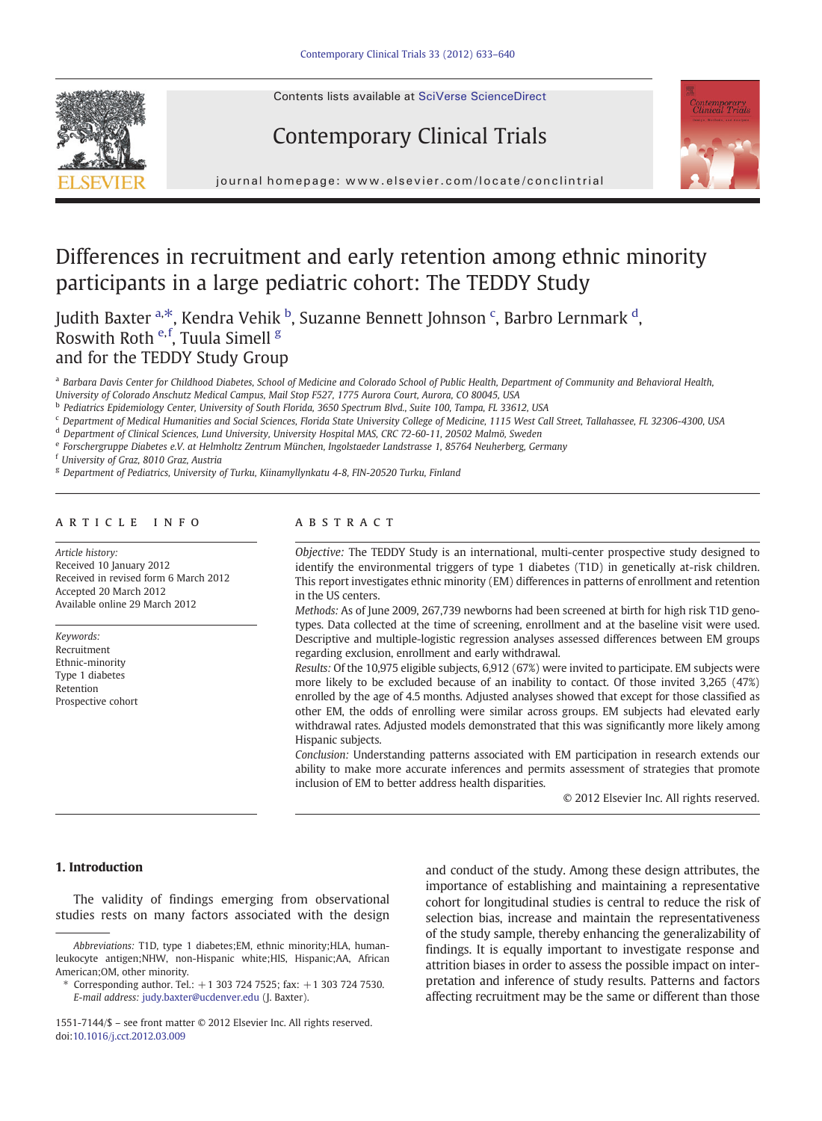Contents lists available at SciVerse ScienceDirect

# Contemporary Clinical Trials



journal homepage: www.elsevier.com/locate/conclintrial

# Differences in recruitment and early retention among ethnic minority participants in a large pediatric cohort: The TEDDY Study

Judith Baxter <sup>a,\*</sup>, Kendra Vehik <sup>b</sup>, Suzanne Bennett Johnson <sup>c</sup>, Barbro Lernmark <sup>d</sup>, Roswith Roth <sup>e, f</sup>, Tuula Simell <sup>g</sup> and for the TEDDY Study Group

a Barbara Davis Center for Childhood Diabetes, School of Medicine and Colorado School of Public Health, Department of Community and Behavioral Health, University of Colorado Anschutz Medical Campus, Mail Stop F527, 1775 Aurora Court, Aurora, CO 80045, USA

<sup>b</sup> Pediatrics Epidemiology Center, University of South Florida, 3650 Spectrum Blvd., Suite 100, Tampa, FL 33612, USA

<sup>c</sup> Department of Medical Humanities and Social Sciences, Florida State University College of Medicine, 1115 West Call Street, Tallahassee, FL 32306-4300, USA

<sup>d</sup> Department of Clinical Sciences, Lund University, University Hospital MAS, CRC 72-60-11, 20502 Malmö, Sweden

e Forschergruppe Diabetes e.V. at Helmholtz Zentrum München, Ingolstaeder Landstrasse 1, 85764 Neuherberg, Germany

<sup>f</sup> University of Graz, 8010 Graz, Austria

<sup>g</sup> Department of Pediatrics, University of Turku, Kiinamyllynkatu 4-8, FIN-20520 Turku, Finland

## article info abstract

Article history: Received 10 January 2012 Received in revised form 6 March 2012 Accepted 20 March 2012 Available online 29 March 2012

Keywords: Recruitment Ethnic-minority Type 1 diabetes Retention Prospective cohort

Objective: The TEDDY Study is an international, multi-center prospective study designed to identify the environmental triggers of type 1 diabetes (T1D) in genetically at-risk children. This report investigates ethnic minority (EM) differences in patterns of enrollment and retention in the US centers.

Methods: As of June 2009, 267,739 newborns had been screened at birth for high risk T1D genotypes. Data collected at the time of screening, enrollment and at the baseline visit were used. Descriptive and multiple-logistic regression analyses assessed differences between EM groups regarding exclusion, enrollment and early withdrawal.

Results: Of the 10,975 eligible subjects, 6,912 (67%) were invited to participate. EM subjects were more likely to be excluded because of an inability to contact. Of those invited 3,265 (47%) enrolled by the age of 4.5 months. Adjusted analyses showed that except for those classified as other EM, the odds of enrolling were similar across groups. EM subjects had elevated early withdrawal rates. Adjusted models demonstrated that this was significantly more likely among Hispanic subjects.

Conclusion: Understanding patterns associated with EM participation in research extends our ability to make more accurate inferences and permits assessment of strategies that promote inclusion of EM to better address health disparities.

© 2012 Elsevier Inc. All rights reserved.

# 1. Introduction

The validity of findings emerging from observational studies rests on many factors associated with the design

and conduct of the study. Among these design attributes, the importance of establishing and maintaining a representative cohort for longitudinal studies is central to reduce the risk of selection bias, increase and maintain the representativeness of the study sample, thereby enhancing the generalizability of findings. It is equally important to investigate response and attrition biases in order to assess the possible impact on interpretation and inference of study results. Patterns and factors affecting recruitment may be the same or different than those

Abbreviations: T1D, type 1 diabetes;EM, ethnic minority;HLA, humanleukocyte antigen;NHW, non-Hispanic white;HIS, Hispanic;AA, African American;OM, other minority.

<sup>⁎</sup> Corresponding author. Tel.: +1 303 724 7525; fax: +1 303 724 7530. E-mail address: [judy.baxter@ucdenver.edu](mailto:judy.baxter@ucdenver.edu) (J. Baxter).

<sup>1551-7144/\$</sup> – see front matter © 2012 Elsevier Inc. All rights reserved. doi[:10.1016/j.cct.2012.03.009](http://dx.doi.org/10.1016/j.cct.2012.03.009)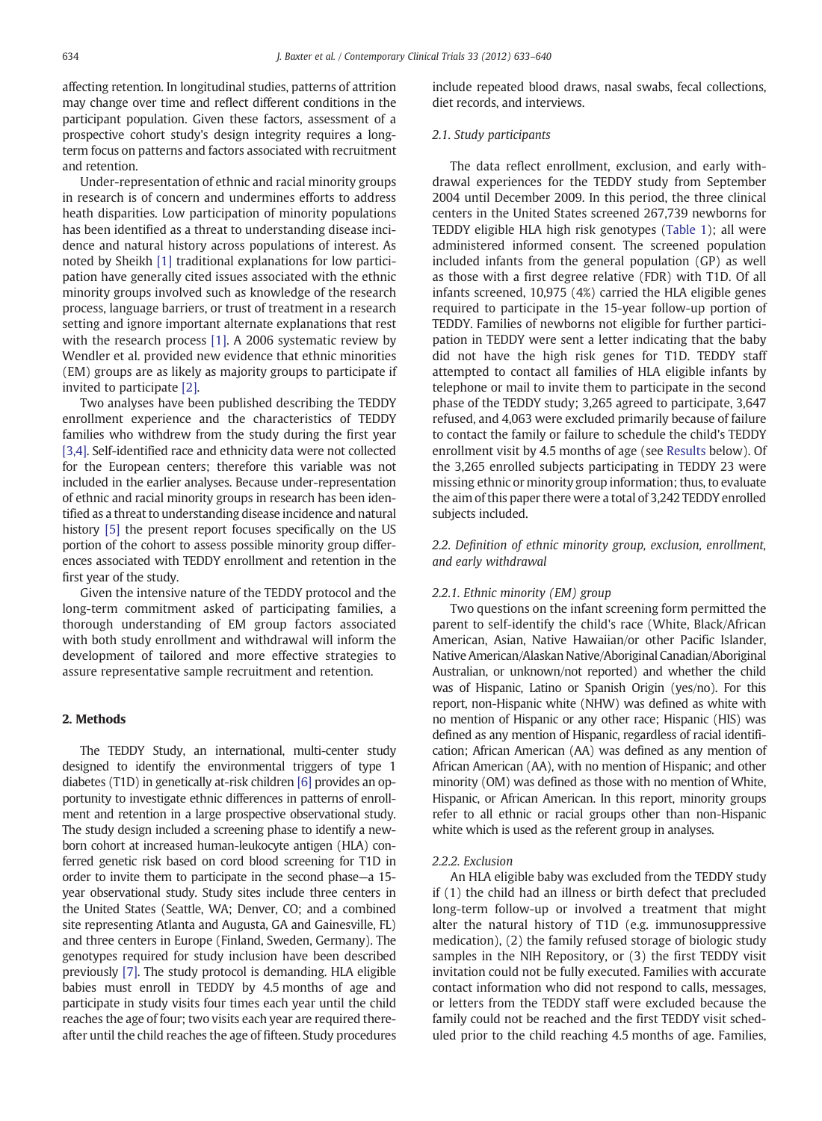affecting retention. In longitudinal studies, patterns of attrition may change over time and reflect different conditions in the participant population. Given these factors, assessment of a prospective cohort study's design integrity requires a longterm focus on patterns and factors associated with recruitment and retention.

Under-representation of ethnic and racial minority groups in research is of concern and undermines efforts to address heath disparities. Low participation of minority populations has been identified as a threat to understanding disease incidence and natural history across populations of interest. As noted by Sheikh [\[1\]](#page-7-0) traditional explanations for low participation have generally cited issues associated with the ethnic minority groups involved such as knowledge of the research process, language barriers, or trust of treatment in a research setting and ignore important alternate explanations that rest with the research process [\[1\].](#page-7-0) A 2006 systematic review by Wendler et al. provided new evidence that ethnic minorities (EM) groups are as likely as majority groups to participate if invited to participate [\[2\].](#page-7-0)

Two analyses have been published describing the TEDDY enrollment experience and the characteristics of TEDDY families who withdrew from the study during the first year [\[3,4\]](#page-7-0). Self-identified race and ethnicity data were not collected for the European centers; therefore this variable was not included in the earlier analyses. Because under-representation of ethnic and racial minority groups in research has been identified as a threat to understanding disease incidence and natural history [\[5\]](#page-7-0) the present report focuses specifically on the US portion of the cohort to assess possible minority group differences associated with TEDDY enrollment and retention in the first year of the study.

Given the intensive nature of the TEDDY protocol and the long-term commitment asked of participating families, a thorough understanding of EM group factors associated with both study enrollment and withdrawal will inform the development of tailored and more effective strategies to assure representative sample recruitment and retention.

# 2. Methods

The TEDDY Study, an international, multi-center study designed to identify the environmental triggers of type 1 diabetes (T1D) in genetically at-risk children [\[6\]](#page-7-0) provides an opportunity to investigate ethnic differences in patterns of enrollment and retention in a large prospective observational study. The study design included a screening phase to identify a newborn cohort at increased human-leukocyte antigen (HLA) conferred genetic risk based on cord blood screening for T1D in order to invite them to participate in the second phase—a 15 year observational study. Study sites include three centers in the United States (Seattle, WA; Denver, CO; and a combined site representing Atlanta and Augusta, GA and Gainesville, FL) and three centers in Europe (Finland, Sweden, Germany). The genotypes required for study inclusion have been described previously [\[7\].](#page-7-0) The study protocol is demanding. HLA eligible babies must enroll in TEDDY by 4.5 months of age and participate in study visits four times each year until the child reaches the age of four; two visits each year are required thereafter until the child reaches the age of fifteen. Study procedures include repeated blood draws, nasal swabs, fecal collections, diet records, and interviews.

# 2.1. Study participants

The data reflect enrollment, exclusion, and early withdrawal experiences for the TEDDY study from September 2004 until December 2009. In this period, the three clinical centers in the United States screened 267,739 newborns for TEDDY eligible HLA high risk genotypes [\(Table 1](#page-2-0)); all were administered informed consent. The screened population included infants from the general population (GP) as well as those with a first degree relative (FDR) with T1D. Of all infants screened, 10,975 (4%) carried the HLA eligible genes required to participate in the 15-year follow-up portion of TEDDY. Families of newborns not eligible for further participation in TEDDY were sent a letter indicating that the baby did not have the high risk genes for T1D. TEDDY staff attempted to contact all families of HLA eligible infants by telephone or mail to invite them to participate in the second phase of the TEDDY study; 3,265 agreed to participate, 3,647 refused, and 4,063 were excluded primarily because of failure to contact the family or failure to schedule the child's TEDDY enrollment visit by 4.5 months of age (see [Results](#page-3-0) below). Of the 3,265 enrolled subjects participating in TEDDY 23 were missing ethnic or minority group information; thus, to evaluate the aim of this paper there were a total of 3,242 TEDDY enrolled subjects included.

2.2. Definition of ethnic minority group, exclusion, enrollment, and early withdrawal

# 2.2.1. Ethnic minority (EM) group

Two questions on the infant screening form permitted the parent to self-identify the child's race (White, Black/African American, Asian, Native Hawaiian/or other Pacific Islander, Native American/Alaskan Native/Aboriginal Canadian/Aboriginal Australian, or unknown/not reported) and whether the child was of Hispanic, Latino or Spanish Origin (yes/no). For this report, non-Hispanic white (NHW) was defined as white with no mention of Hispanic or any other race; Hispanic (HIS) was defined as any mention of Hispanic, regardless of racial identification; African American (AA) was defined as any mention of African American (AA), with no mention of Hispanic; and other minority (OM) was defined as those with no mention of White, Hispanic, or African American. In this report, minority groups refer to all ethnic or racial groups other than non-Hispanic white which is used as the referent group in analyses.

## 2.2.2. Exclusion

An HLA eligible baby was excluded from the TEDDY study if (1) the child had an illness or birth defect that precluded long-term follow-up or involved a treatment that might alter the natural history of T1D (e.g. immunosuppressive medication), (2) the family refused storage of biologic study samples in the NIH Repository, or (3) the first TEDDY visit invitation could not be fully executed. Families with accurate contact information who did not respond to calls, messages, or letters from the TEDDY staff were excluded because the family could not be reached and the first TEDDY visit scheduled prior to the child reaching 4.5 months of age. Families,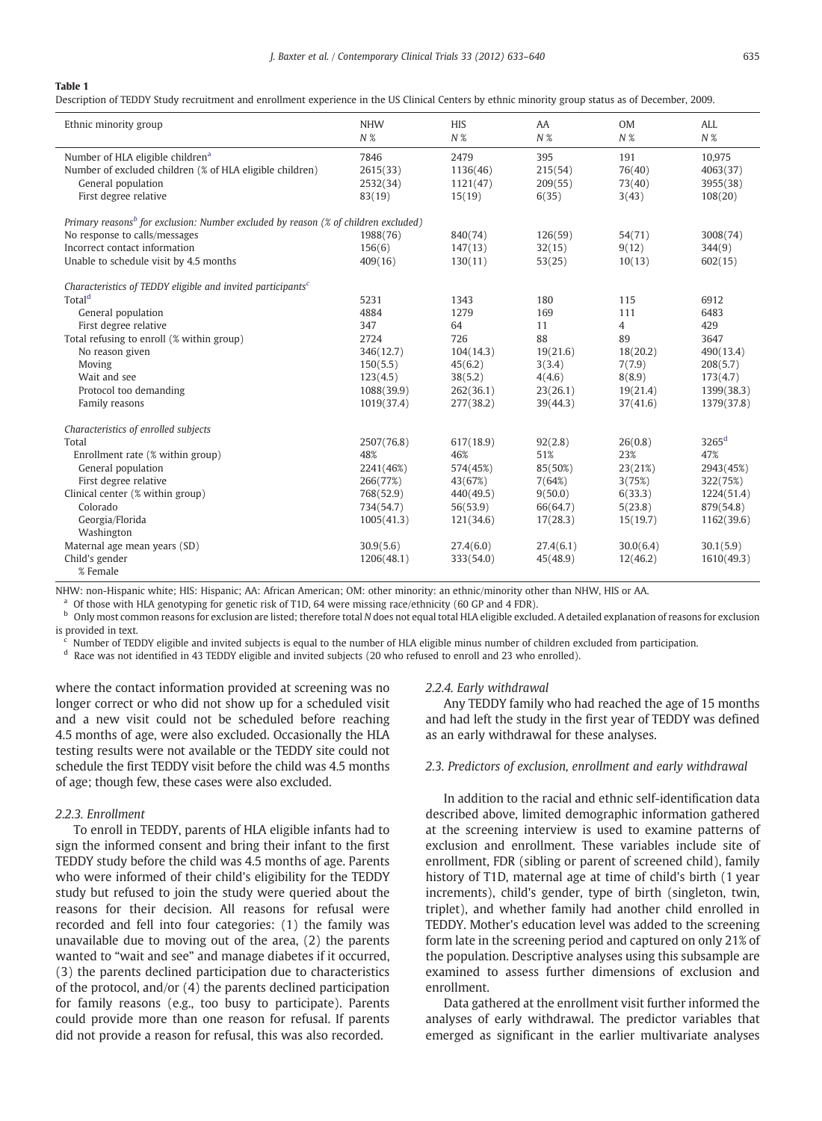# <span id="page-2-0"></span>Table 1

Description of TEDDY Study recruitment and enrollment experience in the US Clinical Centers by ethnic minority group status as of December, 2009.

| Ethnic minority group                                                                          | <b>NHW</b>     | <b>HIS</b>     | AA             | <b>OM</b>      | ALL               |  |  |  |  |
|------------------------------------------------------------------------------------------------|----------------|----------------|----------------|----------------|-------------------|--|--|--|--|
|                                                                                                | N <sub>2</sub> | N <sup>2</sup> | N <sup>2</sup> | N <sub>2</sub> | N <sub>2</sub>    |  |  |  |  |
| Number of HLA eligible children <sup>a</sup>                                                   | 7846           | 2479           | 395            | 191            | 10.975            |  |  |  |  |
| Number of excluded children (% of HLA eligible children)                                       | 2615(33)       | 1136(46)       | 215(54)        | 76(40)         | 4063(37)          |  |  |  |  |
| General population                                                                             | 2532(34)       | 1121(47)       | 209(55)        | 73(40)         | 3955(38)          |  |  |  |  |
| First degree relative                                                                          | 83(19)         | 15(19)         | 6(35)          | 3(43)          | 108(20)           |  |  |  |  |
| Primary reasons <sup>b</sup> for exclusion: Number excluded by reason (% of children excluded) |                |                |                |                |                   |  |  |  |  |
| No response to calls/messages                                                                  | 1988(76)       | 840(74)        | 126(59)        | 54(71)         | 3008(74)          |  |  |  |  |
| Incorrect contact information                                                                  | 156(6)         | 147(13)        | 32(15)         | 9(12)          | 344(9)            |  |  |  |  |
| Unable to schedule visit by 4.5 months                                                         | 409(16)        | 130(11)        | 53(25)         | 10(13)         | 602(15)           |  |  |  |  |
| Characteristics of TEDDY eligible and invited participants <sup><math>c</math></sup>           |                |                |                |                |                   |  |  |  |  |
| Total <sup>d</sup>                                                                             | 5231           | 1343           | 180            | 115            | 6912              |  |  |  |  |
| General population                                                                             | 4884           | 1279           | 169            | 111            | 6483              |  |  |  |  |
| First degree relative                                                                          | 347            | 64             | 11             | $\overline{4}$ | 429               |  |  |  |  |
| Total refusing to enroll (% within group)                                                      | 2724           | 726            | 88             | 89             | 3647              |  |  |  |  |
| No reason given                                                                                | 346(12.7)      | 104(14.3)      | 19(21.6)       | 18(20.2)       | 490(13.4)         |  |  |  |  |
| Moving                                                                                         | 150(5.5)       | 45(6.2)        | 3(3.4)         | 7(7.9)         | 208(5.7)          |  |  |  |  |
| Wait and see                                                                                   | 123(4.5)       | 38(5.2)        | 4(4.6)         | 8(8.9)         | 173(4.7)          |  |  |  |  |
| Protocol too demanding                                                                         | 1088(39.9)     | 262(36.1)      | 23(26.1)       | 19(21.4)       | 1399(38.3)        |  |  |  |  |
| Family reasons                                                                                 | 1019(37.4)     | 277(38.2)      | 39(44.3)       | 37(41.6)       | 1379(37.8)        |  |  |  |  |
| Characteristics of enrolled subjects                                                           |                |                |                |                |                   |  |  |  |  |
| Total                                                                                          | 2507(76.8)     | 617(18.9)      | 92(2.8)        | 26(0.8)        | 3265 <sup>d</sup> |  |  |  |  |
| Enrollment rate (% within group)                                                               | 48%            | 46%            | 51%            | 23%            | 47%               |  |  |  |  |
| General population                                                                             | 2241(46%)      | 574(45%)       | 85(50%)        | 23(21%)        | 2943(45%)         |  |  |  |  |
| First degree relative                                                                          | 266(77%)       | 43(67%)        | 7(64%)         | 3(75%)         | 322(75%)          |  |  |  |  |
| Clinical center (% within group)                                                               | 768(52.9)      | 440(49.5)      | 9(50.0)        | 6(33.3)        | 1224(51.4)        |  |  |  |  |
| Colorado                                                                                       | 734(54.7)      | 56(53.9)       | 66(64.7)       | 5(23.8)        | 879(54.8)         |  |  |  |  |
| Georgia/Florida                                                                                | 1005(41.3)     | 121(34.6)      | 17(28.3)       | 15(19.7)       | 1162(39.6)        |  |  |  |  |
| Washington                                                                                     |                |                |                |                |                   |  |  |  |  |
| Maternal age mean years (SD)                                                                   | 30.9(5.6)      | 27.4(6.0)      | 27.4(6.1)      | 30.0(6.4)      | 30.1(5.9)         |  |  |  |  |
| Child's gender                                                                                 | 1206(48.1)     | 333(54.0)      | 45(48.9)       | 12(46.2)       | 1610(49.3)        |  |  |  |  |
| % Female                                                                                       |                |                |                |                |                   |  |  |  |  |

NHW: non-Hispanic white; HIS: Hispanic; AA: African American; OM: other minority: an ethnic/minority other than NHW, HIS or AA.

<sup>a</sup> Of those with HLA genotyping for genetic risk of T1D, 64 were missing race/ethnicity (60 GP and 4 FDR).

b Only most common reasons for exclusion are listed; therefore total N does not equal total HLA eligible excluded. A detailed explanation of reasons for exclusion is provided in text.

<sup>c</sup> Number of TEDDY eligible and invited subjects is equal to the number of HLA eligible minus number of children excluded from participation.

<sup>d</sup> Race was not identified in 43 TEDDY eligible and invited subjects (20 who refused to enroll and 23 who enrolled).

where the contact information provided at screening was no longer correct or who did not show up for a scheduled visit and a new visit could not be scheduled before reaching 4.5 months of age, were also excluded. Occasionally the HLA testing results were not available or the TEDDY site could not schedule the first TEDDY visit before the child was 4.5 months of age; though few, these cases were also excluded.

# 2.2.3. Enrollment

To enroll in TEDDY, parents of HLA eligible infants had to sign the informed consent and bring their infant to the first TEDDY study before the child was 4.5 months of age. Parents who were informed of their child's eligibility for the TEDDY study but refused to join the study were queried about the reasons for their decision. All reasons for refusal were recorded and fell into four categories: (1) the family was unavailable due to moving out of the area, (2) the parents wanted to "wait and see" and manage diabetes if it occurred, (3) the parents declined participation due to characteristics of the protocol, and/or (4) the parents declined participation for family reasons (e.g., too busy to participate). Parents could provide more than one reason for refusal. If parents did not provide a reason for refusal, this was also recorded.

#### 2.2.4. Early withdrawal

Any TEDDY family who had reached the age of 15 months and had left the study in the first year of TEDDY was defined as an early withdrawal for these analyses.

# 2.3. Predictors of exclusion, enrollment and early withdrawal

In addition to the racial and ethnic self-identification data described above, limited demographic information gathered at the screening interview is used to examine patterns of exclusion and enrollment. These variables include site of enrollment, FDR (sibling or parent of screened child), family history of T1D, maternal age at time of child's birth (1 year increments), child's gender, type of birth (singleton, twin, triplet), and whether family had another child enrolled in TEDDY. Mother's education level was added to the screening form late in the screening period and captured on only 21% of the population. Descriptive analyses using this subsample are examined to assess further dimensions of exclusion and enrollment.

Data gathered at the enrollment visit further informed the analyses of early withdrawal. The predictor variables that emerged as significant in the earlier multivariate analyses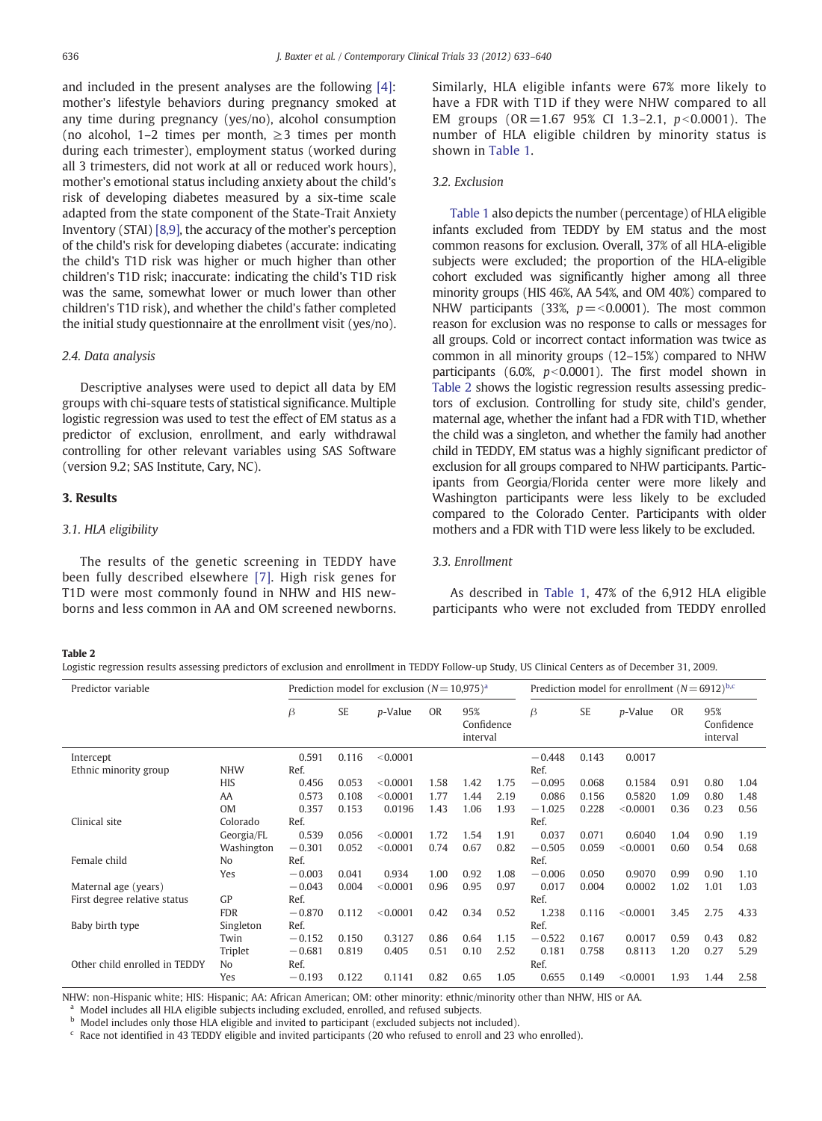<span id="page-3-0"></span>

and included in the present analyses are the following [\[4\]:](#page-7-0) mother's lifestyle behaviors during pregnancy smoked at any time during pregnancy (yes/no), alcohol consumption (no alcohol, 1–2 times per month,  $\geq$ 3 times per month during each trimester), employment status (worked during all 3 trimesters, did not work at all or reduced work hours), mother's emotional status including anxiety about the child's risk of developing diabetes measured by a six-time scale adapted from the state component of the State-Trait Anxiety Inventory (STAI) [\[8,9\],](#page-7-0) the accuracy of the mother's perception of the child's risk for developing diabetes (accurate: indicating the child's T1D risk was higher or much higher than other children's T1D risk; inaccurate: indicating the child's T1D risk was the same, somewhat lower or much lower than other children's T1D risk), and whether the child's father completed the initial study questionnaire at the enrollment visit (yes/no).

# 2.4. Data analysis

Descriptive analyses were used to depict all data by EM groups with chi-square tests of statistical significance. Multiple logistic regression was used to test the effect of EM status as a predictor of exclusion, enrollment, and early withdrawal controlling for other relevant variables using SAS Software (version 9.2; SAS Institute, Cary, NC).

# 3. Results

# 3.1. HLA eligibility

The results of the genetic screening in TEDDY have been fully described elsewhere [\[7\]](#page-7-0). High risk genes for T1D were most commonly found in NHW and HIS newborns and less common in AA and OM screened newborns. Similarly, HLA eligible infants were 67% more likely to have a FDR with T1D if they were NHW compared to all EM groups  $(OR=1.67 95\% \text{ CI } 1.3-2.1, p<0.0001)$ . The number of HLA eligible children by minority status is shown in [Table 1.](#page-2-0)

# 3.2. Exclusion

[Table 1](#page-2-0) also depicts the number (percentage) of HLA eligible infants excluded from TEDDY by EM status and the most common reasons for exclusion. Overall, 37% of all HLA-eligible subjects were excluded; the proportion of the HLA-eligible cohort excluded was significantly higher among all three minority groups (HIS 46%, AA 54%, and OM 40%) compared to NHW participants (33%,  $p = <0.0001$ ). The most common reason for exclusion was no response to calls or messages for all groups. Cold or incorrect contact information was twice as common in all minority groups (12–15%) compared to NHW participants (6.0%,  $p<0.0001$ ). The first model shown in Table 2 shows the logistic regression results assessing predictors of exclusion. Controlling for study site, child's gender, maternal age, whether the infant had a FDR with T1D, whether the child was a singleton, and whether the family had another child in TEDDY, EM status was a highly significant predictor of exclusion for all groups compared to NHW participants. Participants from Georgia/Florida center were more likely and Washington participants were less likely to be excluded compared to the Colorado Center. Participants with older mothers and a FDR with T1D were less likely to be excluded.

# 3.3. Enrollment

As described in [Table 1](#page-2-0), 47% of the 6,912 HLA eligible participants who were not excluded from TEDDY enrolled

#### Table 2

Logistic regression results assessing predictors of exclusion and enrollment in TEDDY Follow-up Study, US Clinical Centers as of December 31, 2009.

| Predictor variable            |                | Prediction model for exclusion $(N = 10.975)^{a}$ |           |          |           | Prediction model for enrollment $(N = 6912)^{b,c}$ |      |          |           |          |           |                               |      |
|-------------------------------|----------------|---------------------------------------------------|-----------|----------|-----------|----------------------------------------------------|------|----------|-----------|----------|-----------|-------------------------------|------|
|                               |                | $\beta$                                           | <b>SE</b> | p-Value  | <b>OR</b> | 95%<br>Confidence<br>interval                      |      | $\beta$  | <b>SE</b> | p-Value  | <b>OR</b> | 95%<br>Confidence<br>interval |      |
| Intercept                     |                | 0.591                                             | 0.116     | < 0.0001 |           |                                                    |      | $-0.448$ | 0.143     | 0.0017   |           |                               |      |
| Ethnic minority group         | <b>NHW</b>     | Ref.                                              |           |          |           |                                                    |      | Ref.     |           |          |           |                               |      |
|                               | <b>HIS</b>     | 0.456                                             | 0.053     | < 0.0001 | 1.58      | 1.42                                               | 1.75 | $-0.095$ | 0.068     | 0.1584   | 0.91      | 0.80                          | 1.04 |
|                               | AA             | 0.573                                             | 0.108     | < 0.0001 | 1.77      | 1.44                                               | 2.19 | 0.086    | 0.156     | 0.5820   | 1.09      | 0.80                          | 1.48 |
|                               | <b>OM</b>      | 0.357                                             | 0.153     | 0.0196   | 1.43      | 1.06                                               | 1.93 | $-1.025$ | 0.228     | < 0.0001 | 0.36      | 0.23                          | 0.56 |
| Clinical site                 | Colorado       | Ref.                                              |           |          |           |                                                    |      | Ref.     |           |          |           |                               |      |
|                               | Georgia/FL     | 0.539                                             | 0.056     | < 0.0001 | 1.72      | 1.54                                               | 1.91 | 0.037    | 0.071     | 0.6040   | 1.04      | 0.90                          | 1.19 |
|                               | Washington     | $-0.301$                                          | 0.052     | < 0.0001 | 0.74      | 0.67                                               | 0.82 | $-0.505$ | 0.059     | < 0.0001 | 0.60      | 0.54                          | 0.68 |
| Female child                  | N <sub>0</sub> | Ref.                                              |           |          |           |                                                    |      | Ref.     |           |          |           |                               |      |
|                               | Yes            | $-0.003$                                          | 0.041     | 0.934    | 1.00      | 0.92                                               | 1.08 | $-0.006$ | 0.050     | 0.9070   | 0.99      | 0.90                          | 1.10 |
| Maternal age (years)          |                | $-0.043$                                          | 0.004     | < 0.0001 | 0.96      | 0.95                                               | 0.97 | 0.017    | 0.004     | 0.0002   | 1.02      | 1.01                          | 1.03 |
| First degree relative status  | GP             | Ref.                                              |           |          |           |                                                    |      | Ref.     |           |          |           |                               |      |
|                               | <b>FDR</b>     | $-0.870$                                          | 0.112     | < 0.0001 | 0.42      | 0.34                                               | 0.52 | 1.238    | 0.116     | < 0.0001 | 3.45      | 2.75                          | 4.33 |
| Baby birth type               | Singleton      | Ref.                                              |           |          |           |                                                    |      | Ref.     |           |          |           |                               |      |
|                               | Twin           | $-0.152$                                          | 0.150     | 0.3127   | 0.86      | 0.64                                               | 1.15 | $-0.522$ | 0.167     | 0.0017   | 0.59      | 0.43                          | 0.82 |
|                               | Triplet        | $-0.681$                                          | 0.819     | 0.405    | 0.51      | 0.10                                               | 2.52 | 0.181    | 0.758     | 0.8113   | 1.20      | 0.27                          | 5.29 |
| Other child enrolled in TEDDY | N <sub>0</sub> | Ref.                                              |           |          |           |                                                    |      | Ref.     |           |          |           |                               |      |
|                               | Yes            | $-0.193$                                          | 0.122     | 0.1141   | 0.82      | 0.65                                               | 1.05 | 0.655    | 0.149     | < 0.0001 | 1.93      | 1.44                          | 2.58 |

NHW: non-Hispanic white; HIS: Hispanic; AA: African American; OM: other minority: ethnic/minority other than NHW, HIS or AA.

a Model includes all HLA eligible subjects including excluded, enrolled, and refused subjects.

**b** Model includes only those HLA eligible and invited to participant (excluded subjects not included).

<sup>c</sup> Race not identified in 43 TEDDY eligible and invited participants (20 who refused to enroll and 23 who enrolled).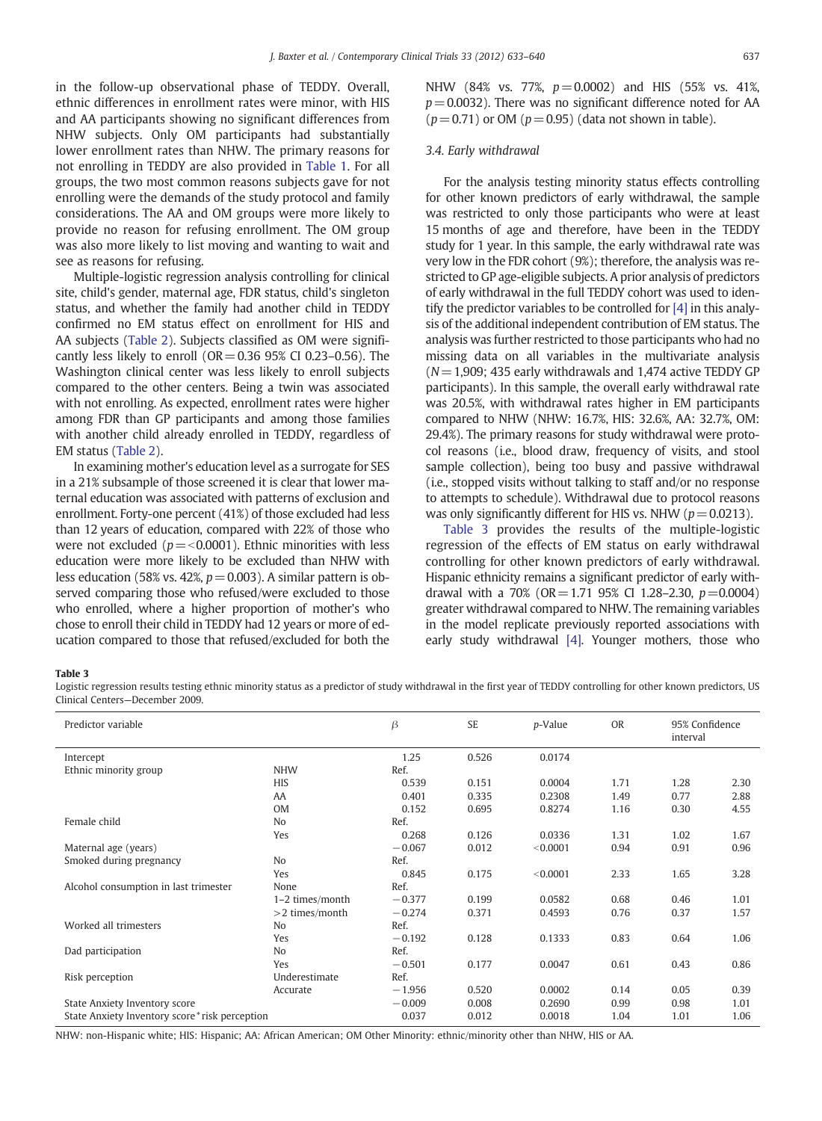in the follow-up observational phase of TEDDY. Overall, ethnic differences in enrollment rates were minor, with HIS and AA participants showing no significant differences from NHW subjects. Only OM participants had substantially lower enrollment rates than NHW. The primary reasons for not enrolling in TEDDY are also provided in [Table 1.](#page-2-0) For all groups, the two most common reasons subjects gave for not enrolling were the demands of the study protocol and family considerations. The AA and OM groups were more likely to provide no reason for refusing enrollment. The OM group was also more likely to list moving and wanting to wait and see as reasons for refusing.

Multiple-logistic regression analysis controlling for clinical site, child's gender, maternal age, FDR status, child's singleton status, and whether the family had another child in TEDDY confirmed no EM status effect on enrollment for HIS and AA subjects [\(Table 2](#page-3-0)). Subjects classified as OM were significantly less likely to enroll ( $OR = 0.36$  95% CI 0.23–0.56). The Washington clinical center was less likely to enroll subjects compared to the other centers. Being a twin was associated with not enrolling. As expected, enrollment rates were higher among FDR than GP participants and among those families with another child already enrolled in TEDDY, regardless of EM status [\(Table 2\)](#page-3-0).

In examining mother's education level as a surrogate for SES in a 21% subsample of those screened it is clear that lower maternal education was associated with patterns of exclusion and enrollment. Forty-one percent (41%) of those excluded had less than 12 years of education, compared with 22% of those who were not excluded ( $p = < 0.0001$ ). Ethnic minorities with less education were more likely to be excluded than NHW with less education (58% vs. 42%,  $p=0.003$ ). A similar pattern is observed comparing those who refused/were excluded to those who enrolled, where a higher proportion of mother's who chose to enroll their child in TEDDY had 12 years or more of education compared to those that refused/excluded for both the NHW (84% vs. 77%,  $p=0.0002$ ) and HIS (55% vs. 41%,  $p=0.0032$ ). There was no significant difference noted for AA  $(p=0.71)$  or OM  $(p=0.95)$  (data not shown in table).

# 3.4. Early withdrawal

For the analysis testing minority status effects controlling for other known predictors of early withdrawal, the sample was restricted to only those participants who were at least 15 months of age and therefore, have been in the TEDDY study for 1 year. In this sample, the early withdrawal rate was very low in the FDR cohort (9%); therefore, the analysis was restricted to GP age-eligible subjects. A prior analysis of predictors of early withdrawal in the full TEDDY cohort was used to identify the predictor variables to be controlled for [\[4\]](#page-7-0) in this analysis of the additional independent contribution of EM status. The analysis was further restricted to those participants who had no missing data on all variables in the multivariate analysis  $(N=1,909; 435$  early withdrawals and 1,474 active TEDDY GP participants). In this sample, the overall early withdrawal rate was 20.5%, with withdrawal rates higher in EM participants compared to NHW (NHW: 16.7%, HIS: 32.6%, AA: 32.7%, OM: 29.4%). The primary reasons for study withdrawal were protocol reasons (i.e., blood draw, frequency of visits, and stool sample collection), being too busy and passive withdrawal (i.e., stopped visits without talking to staff and/or no response to attempts to schedule). Withdrawal due to protocol reasons was only significantly different for HIS vs. NHW ( $p=0.0213$ ).

Table 3 provides the results of the multiple-logistic regression of the effects of EM status on early withdrawal controlling for other known predictors of early withdrawal. Hispanic ethnicity remains a significant predictor of early withdrawal with a 70% (OR = 1.71 95% CI 1.28-2.30,  $p = 0.0004$ ) greater withdrawal compared to NHW. The remaining variables in the model replicate previously reported associations with early study withdrawal [\[4\].](#page-7-0) Younger mothers, those who

# Table 3

Logistic regression results testing ethnic minority status as a predictor of study withdrawal in the first year of TEDDY controlling for other known predictors, US Clinical Centers—December 2009.

| Predictor variable                            |                   | β        | <b>SE</b> | p-Value  | <b>OR</b> | 95% Confidence<br>interval |      |
|-----------------------------------------------|-------------------|----------|-----------|----------|-----------|----------------------------|------|
| Intercept                                     |                   | 1.25     | 0.526     | 0.0174   |           |                            |      |
| Ethnic minority group                         | <b>NHW</b>        | Ref.     |           |          |           |                            |      |
|                                               | <b>HIS</b>        | 0.539    | 0.151     | 0.0004   | 1.71      | 1.28                       | 2.30 |
|                                               | AA                | 0.401    | 0.335     | 0.2308   | 1.49      | 0.77                       | 2.88 |
|                                               | <b>OM</b>         | 0.152    | 0.695     | 0.8274   | 1.16      | 0.30                       | 4.55 |
| Female child                                  | N <sub>0</sub>    | Ref.     |           |          |           |                            |      |
|                                               | Yes               | 0.268    | 0.126     | 0.0336   | 1.31      | 1.02                       | 1.67 |
| Maternal age (years)                          |                   | $-0.067$ | 0.012     | < 0.0001 | 0.94      | 0.91                       | 0.96 |
| Smoked during pregnancy                       | N <sub>0</sub>    | Ref.     |           |          |           |                            |      |
|                                               | Yes               | 0.845    | 0.175     | < 0.0001 | 2.33      | 1.65                       | 3.28 |
| Alcohol consumption in last trimester         | None              | Ref.     |           |          |           |                            |      |
|                                               | $1-2$ times/month | $-0.377$ | 0.199     | 0.0582   | 0.68      | 0.46                       | 1.01 |
|                                               | $>$ 2 times/month | $-0.274$ | 0.371     | 0.4593   | 0.76      | 0.37                       | 1.57 |
| Worked all trimesters                         | N <sub>o</sub>    | Ref.     |           |          |           |                            |      |
|                                               | Yes               | $-0.192$ | 0.128     | 0.1333   | 0.83      | 0.64                       | 1.06 |
| Dad participation                             | N <sub>0</sub>    | Ref.     |           |          |           |                            |      |
|                                               | Yes               | $-0.501$ | 0.177     | 0.0047   | 0.61      | 0.43                       | 0.86 |
| Risk perception                               | Underestimate     | Ref.     |           |          |           |                            |      |
|                                               | Accurate          | $-1.956$ | 0.520     | 0.0002   | 0.14      | 0.05                       | 0.39 |
| State Anxiety Inventory score                 |                   | $-0.009$ | 0.008     | 0.2690   | 0.99      | 0.98                       | 1.01 |
| State Anxiety Inventory score*risk perception |                   | 0.037    | 0.012     | 0.0018   | 1.04      | 1.01                       | 1.06 |

NHW: non-Hispanic white; HIS: Hispanic; AA: African American; OM Other Minority: ethnic/minority other than NHW, HIS or AA.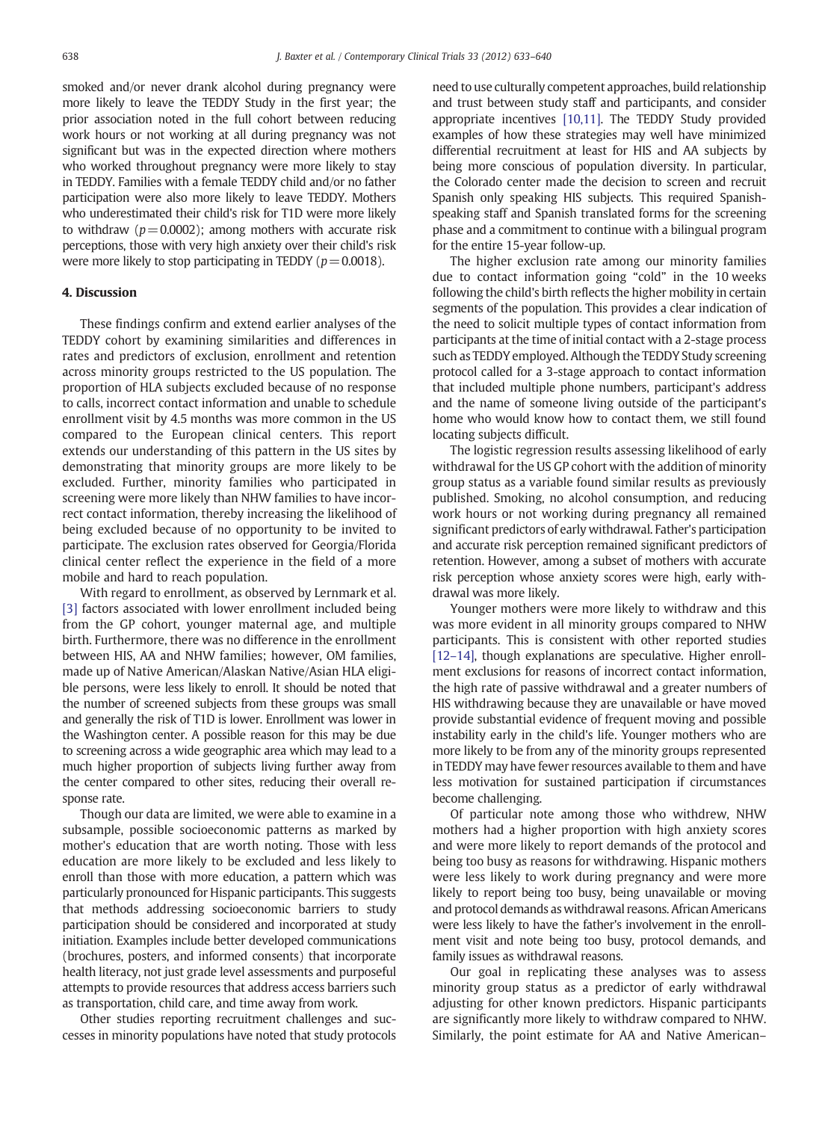smoked and/or never drank alcohol during pregnancy were more likely to leave the TEDDY Study in the first year; the prior association noted in the full cohort between reducing work hours or not working at all during pregnancy was not significant but was in the expected direction where mothers who worked throughout pregnancy were more likely to stay in TEDDY. Families with a female TEDDY child and/or no father participation were also more likely to leave TEDDY. Mothers who underestimated their child's risk for T1D were more likely to withdraw ( $p=0.0002$ ); among mothers with accurate risk perceptions, those with very high anxiety over their child's risk were more likely to stop participating in TEDDY ( $p=0.0018$ ).

# 4. Discussion

These findings confirm and extend earlier analyses of the TEDDY cohort by examining similarities and differences in rates and predictors of exclusion, enrollment and retention across minority groups restricted to the US population. The proportion of HLA subjects excluded because of no response to calls, incorrect contact information and unable to schedule enrollment visit by 4.5 months was more common in the US compared to the European clinical centers. This report extends our understanding of this pattern in the US sites by demonstrating that minority groups are more likely to be excluded. Further, minority families who participated in screening were more likely than NHW families to have incorrect contact information, thereby increasing the likelihood of being excluded because of no opportunity to be invited to participate. The exclusion rates observed for Georgia/Florida clinical center reflect the experience in the field of a more mobile and hard to reach population.

With regard to enrollment, as observed by Lernmark et al. [\[3\]](#page-7-0) factors associated with lower enrollment included being from the GP cohort, younger maternal age, and multiple birth. Furthermore, there was no difference in the enrollment between HIS, AA and NHW families; however, OM families, made up of Native American/Alaskan Native/Asian HLA eligible persons, were less likely to enroll. It should be noted that the number of screened subjects from these groups was small and generally the risk of T1D is lower. Enrollment was lower in the Washington center. A possible reason for this may be due to screening across a wide geographic area which may lead to a much higher proportion of subjects living further away from the center compared to other sites, reducing their overall response rate.

Though our data are limited, we were able to examine in a subsample, possible socioeconomic patterns as marked by mother's education that are worth noting. Those with less education are more likely to be excluded and less likely to enroll than those with more education, a pattern which was particularly pronounced for Hispanic participants. This suggests that methods addressing socioeconomic barriers to study participation should be considered and incorporated at study initiation. Examples include better developed communications (brochures, posters, and informed consents) that incorporate health literacy, not just grade level assessments and purposeful attempts to provide resources that address access barriers such as transportation, child care, and time away from work.

Other studies reporting recruitment challenges and successes in minority populations have noted that study protocols need to use culturally competent approaches, build relationship and trust between study staff and participants, and consider appropriate incentives [\[10,11\].](#page-7-0) The TEDDY Study provided examples of how these strategies may well have minimized differential recruitment at least for HIS and AA subjects by being more conscious of population diversity. In particular, the Colorado center made the decision to screen and recruit Spanish only speaking HIS subjects. This required Spanishspeaking staff and Spanish translated forms for the screening phase and a commitment to continue with a bilingual program for the entire 15-year follow-up.

The higher exclusion rate among our minority families due to contact information going "cold" in the 10 weeks following the child's birth reflects the higher mobility in certain segments of the population. This provides a clear indication of the need to solicit multiple types of contact information from participants at the time of initial contact with a 2-stage process such as TEDDY employed. Although the TEDDY Study screening protocol called for a 3-stage approach to contact information that included multiple phone numbers, participant's address and the name of someone living outside of the participant's home who would know how to contact them, we still found locating subjects difficult.

The logistic regression results assessing likelihood of early withdrawal for the US GP cohort with the addition of minority group status as a variable found similar results as previously published. Smoking, no alcohol consumption, and reducing work hours or not working during pregnancy all remained significant predictors of early withdrawal. Father's participation and accurate risk perception remained significant predictors of retention. However, among a subset of mothers with accurate risk perception whose anxiety scores were high, early withdrawal was more likely.

Younger mothers were more likely to withdraw and this was more evident in all minority groups compared to NHW participants. This is consistent with other reported studies [\[12](#page-7-0)–14], though explanations are speculative. Higher enrollment exclusions for reasons of incorrect contact information, the high rate of passive withdrawal and a greater numbers of HIS withdrawing because they are unavailable or have moved provide substantial evidence of frequent moving and possible instability early in the child's life. Younger mothers who are more likely to be from any of the minority groups represented in TEDDY may have fewer resources available to them and have less motivation for sustained participation if circumstances become challenging.

Of particular note among those who withdrew, NHW mothers had a higher proportion with high anxiety scores and were more likely to report demands of the protocol and being too busy as reasons for withdrawing. Hispanic mothers were less likely to work during pregnancy and were more likely to report being too busy, being unavailable or moving and protocol demands as withdrawal reasons. African Americans were less likely to have the father's involvement in the enrollment visit and note being too busy, protocol demands, and family issues as withdrawal reasons.

Our goal in replicating these analyses was to assess minority group status as a predictor of early withdrawal adjusting for other known predictors. Hispanic participants are significantly more likely to withdraw compared to NHW. Similarly, the point estimate for AA and Native American–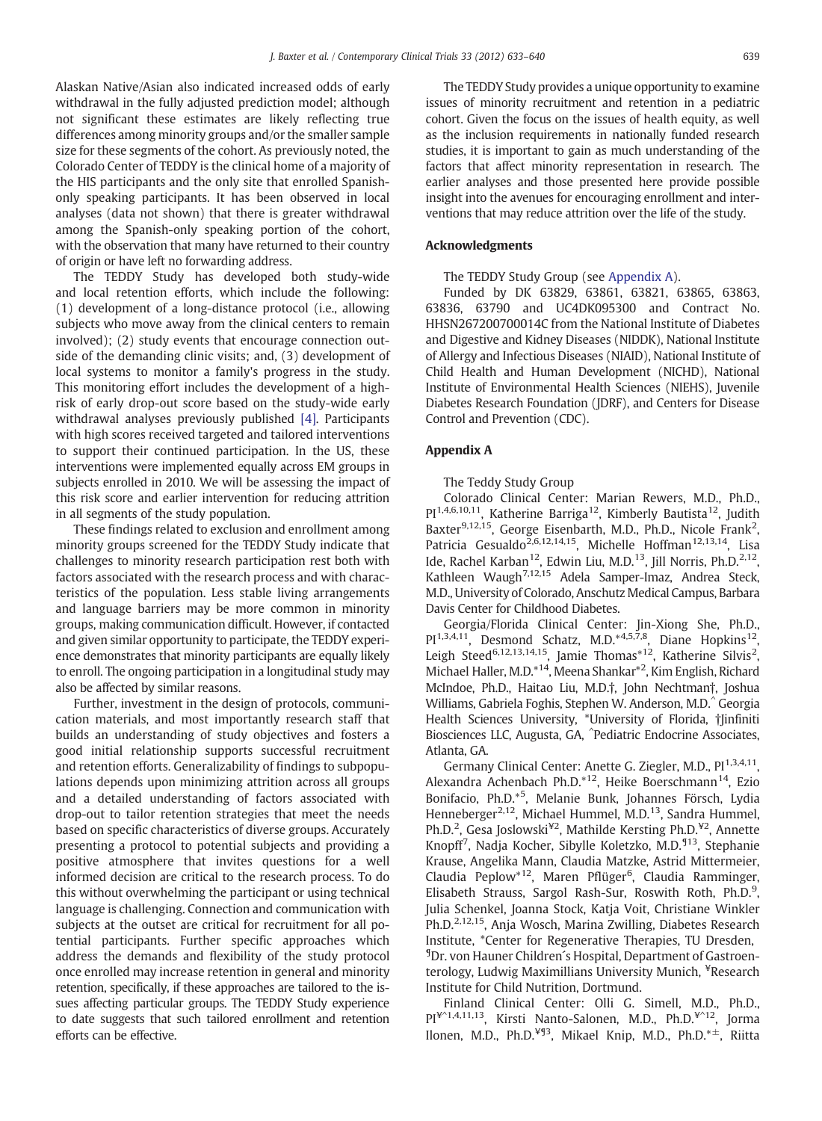Alaskan Native/Asian also indicated increased odds of early withdrawal in the fully adjusted prediction model; although not significant these estimates are likely reflecting true differences among minority groups and/or the smaller sample size for these segments of the cohort. As previously noted, the Colorado Center of TEDDY is the clinical home of a majority of the HIS participants and the only site that enrolled Spanishonly speaking participants. It has been observed in local analyses (data not shown) that there is greater withdrawal among the Spanish-only speaking portion of the cohort, with the observation that many have returned to their country of origin or have left no forwarding address.

The TEDDY Study has developed both study-wide and local retention efforts, which include the following: (1) development of a long-distance protocol (i.e., allowing subjects who move away from the clinical centers to remain involved); (2) study events that encourage connection outside of the demanding clinic visits; and, (3) development of local systems to monitor a family's progress in the study. This monitoring effort includes the development of a highrisk of early drop-out score based on the study-wide early withdrawal analyses previously published [\[4\]](#page-7-0). Participants with high scores received targeted and tailored interventions to support their continued participation. In the US, these interventions were implemented equally across EM groups in subjects enrolled in 2010. We will be assessing the impact of this risk score and earlier intervention for reducing attrition in all segments of the study population.

These findings related to exclusion and enrollment among minority groups screened for the TEDDY Study indicate that challenges to minority research participation rest both with factors associated with the research process and with characteristics of the population. Less stable living arrangements and language barriers may be more common in minority groups, making communication difficult. However, if contacted and given similar opportunity to participate, the TEDDY experience demonstrates that minority participants are equally likely to enroll. The ongoing participation in a longitudinal study may also be affected by similar reasons.

Further, investment in the design of protocols, communication materials, and most importantly research staff that builds an understanding of study objectives and fosters a good initial relationship supports successful recruitment and retention efforts. Generalizability of findings to subpopulations depends upon minimizing attrition across all groups and a detailed understanding of factors associated with drop-out to tailor retention strategies that meet the needs based on specific characteristics of diverse groups. Accurately presenting a protocol to potential subjects and providing a positive atmosphere that invites questions for a well informed decision are critical to the research process. To do this without overwhelming the participant or using technical language is challenging. Connection and communication with subjects at the outset are critical for recruitment for all potential participants. Further specific approaches which address the demands and flexibility of the study protocol once enrolled may increase retention in general and minority retention, specifically, if these approaches are tailored to the issues affecting particular groups. The TEDDY Study experience to date suggests that such tailored enrollment and retention efforts can be effective.

The TEDDY Study provides a unique opportunity to examine issues of minority recruitment and retention in a pediatric cohort. Given the focus on the issues of health equity, as well as the inclusion requirements in nationally funded research studies, it is important to gain as much understanding of the factors that affect minority representation in research. The earlier analyses and those presented here provide possible insight into the avenues for encouraging enrollment and interventions that may reduce attrition over the life of the study.

# Acknowledgments

The TEDDY Study Group (see Appendix A).

Funded by DK 63829, 63861, 63821, 63865, 63863, 63836, 63790 and UC4DK095300 and Contract No. HHSN267200700014C from the National Institute of Diabetes and Digestive and Kidney Diseases (NIDDK), National Institute of Allergy and Infectious Diseases (NIAID), National Institute of Child Health and Human Development (NICHD), National Institute of Environmental Health Sciences (NIEHS), Juvenile Diabetes Research Foundation (JDRF), and Centers for Disease Control and Prevention (CDC).

## Appendix A

# The Teddy Study Group

Colorado Clinical Center: Marian Rewers, M.D., Ph.D.,  $PI^{1,4,6,10,11}$ , Katherine Barriga<sup>12</sup>, Kimberly Bautista<sup>12</sup>, Judith Baxter<sup>9,12,15</sup>, George Eisenbarth, M.D., Ph.D., Nicole Frank<sup>2</sup>, Patricia Gesualdo<sup>2,6,12,14,15</sup>, Michelle Hoffman<sup>12,13,14</sup>, Lisa Ide, Rachel Karban<sup>12</sup>, Edwin Liu, M.D.<sup>13</sup>, Jill Norris, Ph.D.<sup>2,12</sup>, Kathleen Waugh7,12,15 Adela Samper-Imaz, Andrea Steck, M.D., University of Colorado, Anschutz Medical Campus, Barbara Davis Center for Childhood Diabetes.

Georgia/Florida Clinical Center: Jin-Xiong She, Ph.D.,  $PI^{1,3,4,11}$ , Desmond Schatz, M.D.\*4,5,7,8, Diane Hopkins<sup>12</sup>, Leigh Steed<sup>6,12,13,14,15</sup>, Jamie Thomas<sup>\*12</sup>, Katherine Silvis<sup>2</sup>, Michael Haller, M.D.\*14, Meena Shankar\*2 , Kim English, Richard McIndoe, Ph.D., Haitao Liu, M.D.†, John Nechtman†, Joshua Williams, Gabriela Foghis, Stephen W. Anderson, M.D.^ Georgia Health Sciences University, \*University of Florida, †Jinfiniti Biosciences LLC, Augusta, GA, ^ Pediatric Endocrine Associates, Atlanta, GA.

Germany Clinical Center: Anette G. Ziegler, M.D., PI<sup>1,3,4,11</sup>. Alexandra Achenbach Ph.D.<sup>\*12</sup>, Heike Boerschmann<sup>14</sup>, Ezio Bonifacio, Ph.D.\*<sup>5</sup> , Melanie Bunk, Johannes Försch, Lydia Henneberger<sup>2,12</sup>, Michael Hummel, M.D.<sup>13</sup>, Sandra Hummel, Ph.D.<sup>2</sup>, Gesa Joslowski<sup>¥2</sup>, Mathilde Kersting Ph.D.<sup>¥2</sup>, Annette Knopff<sup>7</sup>, Nadja Kocher, Sibylle Koletzko, M.D.<sup>913</sup>, Stephanie Krause, Angelika Mann, Claudia Matzke, Astrid Mittermeier, Claudia Peplow<sup>\*12</sup>, Maren Pflüger<sup>6</sup>, Claudia Ramminger, Elisabeth Strauss, Sargol Rash-Sur, Roswith Roth, Ph.D.<sup>9</sup>, Julia Schenkel, Joanna Stock, Katja Voit, Christiane Winkler Ph.D.<sup>2,12,15</sup>, Anja Wosch, Marina Zwilling, Diabetes Research Institute, \*Center for Regenerative Therapies, TU Dresden, ¶ Dr. von Hauner Children´s Hospital, Department of Gastroenterology, Ludwig Maximillians University Munich, <sup>¥</sup>Research Institute for Child Nutrition, Dortmund.

Finland Clinical Center: Olli G. Simell, M.D., Ph.D., PI<sup>¥^1,4,11,13</sup>, Kirsti Nanto-Salonen, M.D., Ph.D.<sup>¥^12</sup>, Jorma Ilonen, M.D., Ph.D. $493$ , Mikael Knip, M.D., Ph.D. $* \pm$ , Riitta